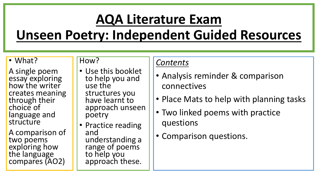# **AQA Literature Exam**

# **Unseen Poetry: Independent Guided Resources**

# • What?

A single poem essay exploring how the writer creates meaning through their choice of language and structure

A comparison of two poems exploring how the language compares (AO2)

# How?

- Use this booklet to help you and use the structures you have learnt to approach unseen poetry
- Practice reading and understanding a range of poems to help you approach these.

# *Contents*

- Analysis reminder & comparison connectives
- Place Mats to help with planning tasks
- Two linked poems with practice questions
- Comparison questions.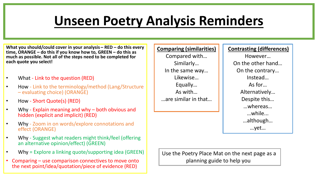# **Unseen Poetry Analysis Reminders**

**What you should/could cover in your analysis – RED – do this every time, ORANGE – do this if you know how to, GREEN – do this as much as possible. Not all of the steps need to be completed for each quote you select!**

- What Link to the question (RED)
- How Link to the terminology/method (Lang/Structure – evaluating choice) (ORANGE)
- How Short Quote(s) (RED)
- Why Explain meaning and why both obvious and hidden (explicit and implicit) (RED)
- Why Zoom in on words/explore connotations and effect (ORANGE)
- Why Suggest what readers might think/feel (offering an alternative opinion/effect) (GREEN)
- Why = Explore a linking quote/supporting idea (GREEN)
- Comparing use comparison connectives to move onto the next point/idea/quotation/piece of evidence (RED)

#### **Comparing (similarities)**

Compared with… Similarly… In the same way… Likewise… Equally… As with… …are similar in that…

#### **Contrasting (differences)**

However… On the other hand… On the contrary… Instead… As for… Alternatively… Despite this… …whereas… …while... …although… …yet…

Use the Poetry Place Mat on the next page as a planning guide to help you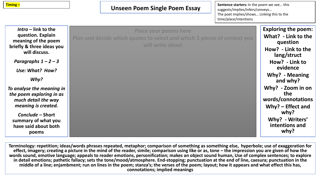#### **Unseen Poem Single Poem Essay**

**Timing – Sentence starters:** In the poem we see... this suggests/implies/infers/conveys… The poet implies/shows… Linking this to the time/place/intentions

| $Intro$ – link to the<br>question. Explain<br>meaning of the poem<br>briefly & three ideas you | Place your poems here<br>Plan and decide which quotes to select and which 3 pieces of context you<br>will write about | <b>Exploring the poem:</b><br>What? - Link to the<br>question<br>How? - Link to the |
|------------------------------------------------------------------------------------------------|-----------------------------------------------------------------------------------------------------------------------|-------------------------------------------------------------------------------------|
| will discuss.                                                                                  |                                                                                                                       | lang/struct                                                                         |
| Paragraphs $1 - 2 - 3$                                                                         |                                                                                                                       | How? - Link to                                                                      |
| Use: What? How?                                                                                |                                                                                                                       | evidence                                                                            |
| Why?                                                                                           |                                                                                                                       | Why? - Meaning<br>and why?                                                          |
| To analyse the meaning in<br>the poem exploring in as<br>much detail the way                   |                                                                                                                       | Why? - Zoom in on<br>the<br>words/connotations                                      |
| meaning is created.<br>Conclude – Short                                                        |                                                                                                                       | Why? $-$ Effect and<br>why?                                                         |
| summary of what you<br>have said about both<br>poems                                           |                                                                                                                       | Why? - Writers'<br>intentions and<br>why?                                           |

**Terminology: repetition; ideas/words phrases repeated, metaphor; comparison of something as something else, hyperbole; use of exaggeration for**  effect, imagery; creating a picture in the mind of the reader, simile; comparison using like or as, tone – the impression you are given of how the **words sound, emotive language; appeals to reader emotions, personification; makes an object sound human, Use of complex sentences; to explore in detail emotions; pathetic fallacy; sets the tone/mood/atmosphere. End-stopping; punctuation at the end of line, caesura; punctuation in the middle of a line; enjambment; run on lines in the poem; stanza's; the verses of the poem; layout; how it appears and what effect this has, connotations; implied meanings**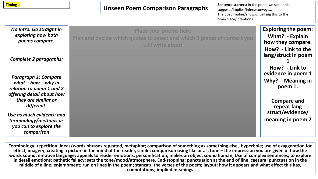| <b>Timing</b> |  |
|---------------|--|

#### **Unseen Poem Comparison Paragraphs**

**Sentence starters:** In the poem we see... this suggests/implies/infers/conveys… The poet implies/shows… Linking this to the time/place/intentions

| No Intro. Go straight in<br>exploring how both<br>poems compare.                                                | <b>Place your poems here</b><br>Plan and decide which quotes to select and which 3 pieces of context you<br>will write about | <b>Exploring the poem:</b><br>What? - Explain<br>how they compare.<br>How? - Link to the |
|-----------------------------------------------------------------------------------------------------------------|------------------------------------------------------------------------------------------------------------------------------|------------------------------------------------------------------------------------------|
| <b>Complete 2 paragraphs:</b>                                                                                   |                                                                                                                              | lang/struct in poem                                                                      |
| <b>Paragraph 1: Compare</b><br>what $-$ how $-$ why in<br>relation to poem 1 and 2<br>offering detail about how |                                                                                                                              | How? - Link to<br>evidence in poem 1<br>Why? - Meaning in<br>poem 1.                     |
| they are similar or<br>different.                                                                               |                                                                                                                              | <b>Compare and</b><br>repeat lang                                                        |
| Use as much evidence and<br>terminology/methods as<br>you can to explore the<br>comparison                      |                                                                                                                              | struct/evidence/<br>meaning in poem 2                                                    |

**Terminology: repetition; ideas/words phrases repeated, metaphor; comparison of something as something else, hyperbole; use of exaggeration for**  effect, imagery; creating a picture in the mind of the reader, simile; comparison using like or as, tone – the impression you are given of how the **words sound, emotive language; appeals to reader emotions, personification; makes an object sound human, Use of complex sentences; to explore in detail emotions; pathetic fallacy; sets the tone/mood/atmosphere. End-stopping; punctuation at the end of line, caesura; punctuation in the middle of a line; enjambment; run on lines in the poem; stanza's; the verses of the poem; layout; how it appears and what effect this has, connotations; implied meanings**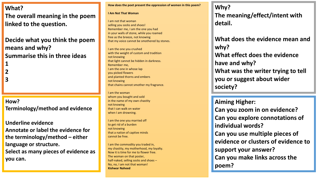**The overall meaning in the poem linked to the question.**

## **Decide what you think the poem means and why? Summarise this in three ideas**

**1 2**

**3**

## **How? Terminology/method and evidence**

**Underline evidence Annotate or label the evidence for the terminology/method – either language or structure. Select as many pieces of evidence as you can.** 

#### **How does the poet present the oppression of women in this poem?**

#### **I Am Not That Woman**

I am not that woman selling you socks and shoes! Remember me, I am the one you had in your walls of stone, while you roamed free as the breeze, not knowing that my voice cannot be smothered by stones.

I am the one you crushed with the weight of custom and tradition not knowing that light cannot be hidden in darkness. Remember me, I am the one in whose lap you picked flowers and planted thorns and embers not knowing that chains cannot smother my fragrance.

I am the woman whom you bought and sold in the name of my own chastity not knowing that I can walk on water when I am drowning.

I am the one you married off to get rid of a burden not knowing that a nation of captive minds cannot be free.

I am the commodity you traded in, my chastity, my motherhood, my loyalty. Now it is time for me to flower free. The woman on that poster, half-naked, selling socks and shoes – No, no, I am not that woman! **Kishwar Naheed**

**Why? The meaning/effect/intent with detail.** 

**What does the evidence mean and why? What effect does the evidence have and why? What was the writer trying to tell you or suggest about wider society?**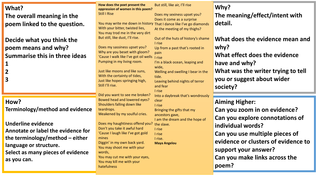| What?                                | How does the poet present the                                              | But still, like air, I'll rise                                      | Why?                                   |
|--------------------------------------|----------------------------------------------------------------------------|---------------------------------------------------------------------|----------------------------------------|
|                                      | oppression of women in this poem?<br><b>Still I Rise</b>                   |                                                                     |                                        |
| The overall meaning in the           |                                                                            | Does my sexiness upset you?<br>Does it come as a surprise           | The meaning/effect/intent with         |
| poem linked to the question.         |                                                                            | You may write me down in history That I dance like I've go diamonds | detail.                                |
|                                      | With your bitter, twisted lies,                                            | At the meeting of my thighs?                                        |                                        |
|                                      | You may trod me in the very dirt                                           |                                                                     |                                        |
| Decide what you think the            | But still, like dust, I'll rise.                                           | Out of the huts of history's shame                                  | What does the evidence mean and        |
|                                      | Does my sassiness upset you?                                               | I rise                                                              | why?                                   |
| poem means and why?                  | Why are you beset with gloom?                                              | Up from a past that's rooted in<br>pain                             |                                        |
| <b>Summarise this in three ideas</b> | 'Cause I walk like I've got oil wells I rise                               |                                                                     | What effect does the evidence          |
| $\mathbf 1$                          | Pumping in my living room.                                                 | I'm a black ocean, leaping and                                      | have and why?                          |
| $\overline{\mathbf{2}}$              | Just like moons and like suns,                                             | wide,<br>Welling and swelling I bear in the                         | What was the writer trying to tell     |
|                                      | With the certainty of tides,                                               | tide.                                                               |                                        |
| $\overline{\mathbf{3}}$              | Just like hopes springing high,                                            | Leaving behind nights of terror                                     | you or suggest about wider             |
|                                      | Still I'll rise.                                                           | and fear                                                            |                                        |
|                                      |                                                                            |                                                                     | society?                               |
|                                      |                                                                            | I rise                                                              |                                        |
|                                      | Did you want to see me broken?<br>Bowed head and lowered eyes?             | Into a daybreak that's wondrously                                   |                                        |
| How?                                 | Shoulders falling down like                                                | clear<br>I rise                                                     | <b>Aiming Higher:</b>                  |
| Terminology/method and evidence      | teardrops.                                                                 | Bringing the gifts that my                                          | Can you zoom in on evidence?           |
|                                      | Weakened by my soulful cries.                                              | ancestors gave,                                                     |                                        |
|                                      |                                                                            | I am the dream and the hope of                                      | Can you explore connotations of        |
| <b>Underline evidence</b>            | Does my haughtiness offend you? the slave.<br>Don't you take it awful hard | I rise                                                              | individual words?                      |
| Annotate or label the evidence for   | 'Cause I laugh like I've got gold                                          | I rise                                                              |                                        |
| the terminology/method $-$ either    | mines                                                                      | I rise.                                                             | Can you use multiple pieces of         |
|                                      | Diggin' in my own back yard.                                               | <b>Maya Angelou</b>                                                 | evidence or clusters of evidence to    |
| language or structure.               | You may shoot me with your<br>words,                                       |                                                                     | support your answer?                   |
| Select as many pieces of evidence    | You may cut me with your eyes,                                             |                                                                     |                                        |
| as you can.                          | You may kill me with your<br>hatefulness                                   |                                                                     | Can you make links across the<br>poem? |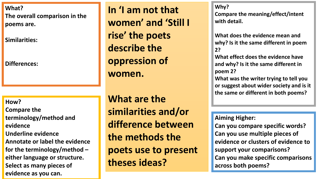**What? The overall comparison in the poems are.** 

**Similarities:** 

**Differences:** 

**How? Compare the terminology/method and evidence Underline evidence Annotate or label the evidence for the terminology/method – either language or structure. Select as many pieces of evidence as you can.** 

**In 'I am not that women' and 'Still I rise' the poets describe the oppression of women.**

**What are the similarities and/or difference between the methods the poets use to present theses ideas?**

**Why?** 

**Compare the meaning/effect/intent with detail.** 

**What does the evidence mean and why? Is it the same different in poem 2?** 

**What effect does the evidence have and why? Is it the same different in poem 2?** 

**What was the writer trying to tell you or suggest about wider society and is it the same or different in both poems?** 

**Aiming Higher:** 

**Can you compare specific words? Can you use multiple pieces of evidence or clusters of evidence to support your comparisons? Can you make specific comparisons across both poems?**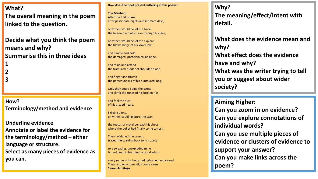**The overall meaning in the poem linked to the question.**

**Decide what you think the poem means and why? Summarise this in three ideas**

- **1 2**
- **3**

**How? Terminology/method and evidence** 

**Underline evidence Annotate or label the evidence for the terminology/method – either language or structure. Select as many pieces of evidence as you can.** 

#### **How does the poet present suffering in this poem?**

**The Manhunt** After the first phase, after passionate nights and intimate days,

only then would he let me trace the frozen river which ran through his face,

only then would he let me explore the blown hinge of his lower jaw,

and handle and hold the damaged, porcelain collar-bone,

and mind and attend the fractured rudder of shoulder-blade,

and finger and thumb the parachute silk of his punctured lung.

Only then could I bind the struts and climb the rungs of his broken ribs,

and feel the hurt of his grazed heart.

Skirting along, only then could I picture the scan,

the foetus of metal beneath his chest where the bullet had finally come to rest.

Then I widened the search, traced the scarring back to its source

to a sweating, unexploded mine buried deep in his mind, around which

every nerve in his body had tightened and closed. Then, and only then, did I come close. **Simon Armitage**

**Why? The meaning/effect/intent with detail.** 

**What does the evidence mean and why? What effect does the evidence have and why? What was the writer trying to tell you or suggest about wider society?**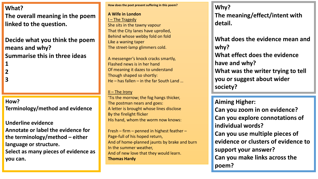**The overall meaning in the poem linked to the question.**

**Decide what you think the poem means and why? Summarise this in three ideas**

**1 2**

**3**

## **How?**

**Terminology/method and evidence** 

**Underline evidence Annotate or label the evidence for the terminology/method – either language or structure. Select as many pieces of evidence as you can.** 

**How does the poet present suffering in this poem?** 

**A Wife in London** I – The Tragedy She sits in the tawny vapour That the City lanes have uprolled, Behind whose webby fold on fold Like a waning taper The street-lamp glimmers cold.

A messenger's knock cracks smartly, Flashed news is in her hand Of meaning it dazes to understand Though shaped so shortly: He – has fallen – in the far South Land …

#### II – The Irony

'Tis the morrow; the fog hangs thicker, The postman nears and goes: A letter is brought whose lines disclose By the firelight flicker His hand, whom the worm now knows:

Fresh – firm – penned in highest feather – Page-full of his hoped return, And of home-planned jaunts by brake and burn In the summer weather, And of new love that they would learn. **Thomas Hardy**

**Why? The meaning/effect/intent with detail.** 

**What does the evidence mean and why? What effect does the evidence have and why? What was the writer trying to tell you or suggest about wider society?**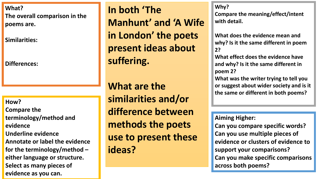**What? The overall comparison in the poems are.** 

**Similarities:** 

**Differences:** 

**How?** 

**Compare the terminology/method and evidence Underline evidence Annotate or label the evidence for the terminology/method – either language or structure. Select as many pieces of evidence as you can.** 

**In both 'The Manhunt' and 'A Wife in London' the poets present ideas about suffering.**

**What are the similarities and/or difference between methods the poets use to present these ideas?** 

**Why?** 

**Compare the meaning/effect/intent with detail.** 

**What does the evidence mean and why? Is it the same different in poem 2?** 

**What effect does the evidence have and why? Is it the same different in poem 2?** 

**What was the writer trying to tell you or suggest about wider society and is it the same or different in both poems?** 

**Aiming Higher:** 

**Can you compare specific words? Can you use multiple pieces of evidence or clusters of evidence to support your comparisons? Can you make specific comparisons across both poems?**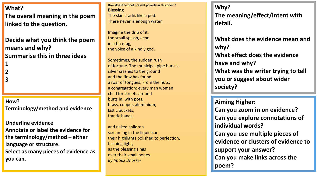**The overall meaning in the poem linked to the question.**

**Decide what you think the poem means and why? Summarise this in three ideas**

**1 2**

**3**

**How? Terminology/method and evidence** 

**Underline evidence Annotate or label the evidence for the terminology/method – either language or structure. Select as many pieces of evidence as you can.** 

**How does the poet present poverty in this poem? Blessing** The skin cracks like a pod. There never is enough water.

Imagine the drip of it, the small splash, echo in a tin mug, the voice of a kindly god.

Sometimes, the sudden rush of fortune. The municipal pipe bursts, silver crashes to the ground and the flow has found a roar of tongues. From the huts, a congregation: every man woman child for streets around butts in, with pots, brass, copper, aluminium, lastic buckets, frantic hands,

and naked children screaming in the liquid sun, their highlights polished to perfection, flashing light, as the blessing sings over their small bones. *By Imtiaz Dharker*

**Why? The meaning/effect/intent with detail.** 

**What does the evidence mean and why? What effect does the evidence have and why? What was the writer trying to tell you or suggest about wider society?**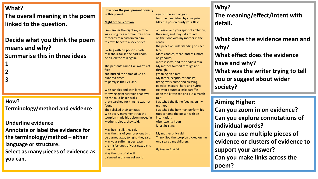# **The overall meaning in the poem linked to the question.**

## **Decide what you think the poem means and why? Summarise this in three ideas**

- **1 2**
- **3**

## **How?**

**Terminology/method and evidence** 

**Underline evidence Annotate or label the evidence for the terminology/method – either language or structure. Select as many pieces of evidence as you can.** 

#### **How does the poet present poverty**

**in this poem?** 

#### **Night of the Scorpion**

I remember the night my mother was stung by a scorpion. Ten hours of steady rain had driven him to crawl beneath a sack of rice.

Parting with his poison - flash of diabolic tail in the dark room he risked the rain again.

The peasants came like swarms of flies

and buzzed the name of God a hundred times to paralyse the Evil One.

With candles and with lanterns throwing giant scorpion shadows on the mud-baked walls they searched for him: he was not found. They clicked their tongues.

With every movement that the scorpion made his poison moved in Mother's blood, they said.

May he sit still, they said May the sins of your previous birth be burned away tonight, they said. May your suffering decrease the misfortunes of your next birth, they said. May the sum of all evil balanced in this unreal world

against the sum of good become diminished by your pain. May the poison purify your flesh

of desire, and your spirit of ambition, they said, and they sat around on the floor with my mother in the centre,

the peace of understanding on each face.

More candles, more lanterns, more neighbours, more insects, and the endless rain.

My mother twisted through and through, groaning on a mat.

My father, sceptic, rationalist, trying every curse and blessing, powder, mixture, herb and hybrid. He even poured a little paraffin upon the bitten toe and put a match to it.

I watched the flame feeding on my mother.

I watched the holy man perform his rites to tame the poison with an incantation. After twenty hours it lost its sting.

My mother only said Thank God the scorpion picked on me And spared my children.

*By Nissim Ezekiel*

**Why? The meaning/effect/intent with detail.** 

**What does the evidence mean and why?** 

**What effect does the evidence have and why?** 

**What was the writer trying to tell you or suggest about wider society?** 

## **Aiming Higher:**

**Can you zoom in on evidence? Can you explore connotations of individual words?** 

**Can you use multiple pieces of evidence or clusters of evidence to support your answer? Can you make links across the poem?**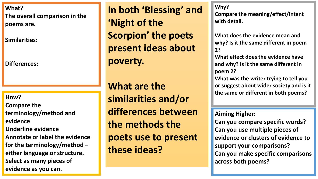**What? The overall comparison in the poems are.** 

**Similarities:** 

**Differences:** 

**How? Compare the terminology/method and evidence Underline evidence Annotate or label the evidence for the terminology/method – either language or structure. Select as many pieces of evidence as you can.** 

**In both 'Blessing' and 'Night of the Scorpion' the poets present ideas about poverty.**

**What are the similarities and/or differences between the methods the poets use to present these ideas?** 

**Why?** 

**Compare the meaning/effect/intent with detail.** 

**What does the evidence mean and why? Is it the same different in poem 2?** 

**What effect does the evidence have and why? Is it the same different in poem 2?** 

**What was the writer trying to tell you or suggest about wider society and is it the same or different in both poems?** 

**Aiming Higher:** 

**Can you compare specific words? Can you use multiple pieces of evidence or clusters of evidence to support your comparisons? Can you make specific comparisons across both poems?**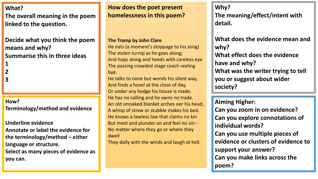**The overall meaning in the poem linked to the question.**

# **Decide what you think the poem means and why? Summarise this in three ideas**

**1 2**

**3**

## **How?**

**Terminology/method and evidence** 

**Underline evidence Annotate or label the evidence for the terminology/method – either language or structure. Select as many pieces of evidence as you can.** 

**How does the poet present homelessness in this poem?**

#### **The Tramp by John Clare**

He eats (a moment's stoppage to his song) The stolen turnip as he goes along; And hops along and heeds with careless eye The passing crowded stage coach reeling bye.

He talks to none but wends his silent way, And finds a hovel at the close of day, Or under any hedge his house is made. He has no calling and he owns no trade. An old smoaked blanket arches oer his head, A whisp of straw or stubble makes his bed. He knows a lawless law that claims no kin But meet and plunder on and feel no sin-- No matter where they go or where they dwell

They dally with the winds and laugh at hell.

**Why? The meaning/effect/intent with detail.** 

**What does the evidence mean and why? What effect does the evidence have and why? What was the writer trying to tell you or suggest about wider society?** 

**Aiming Higher:**